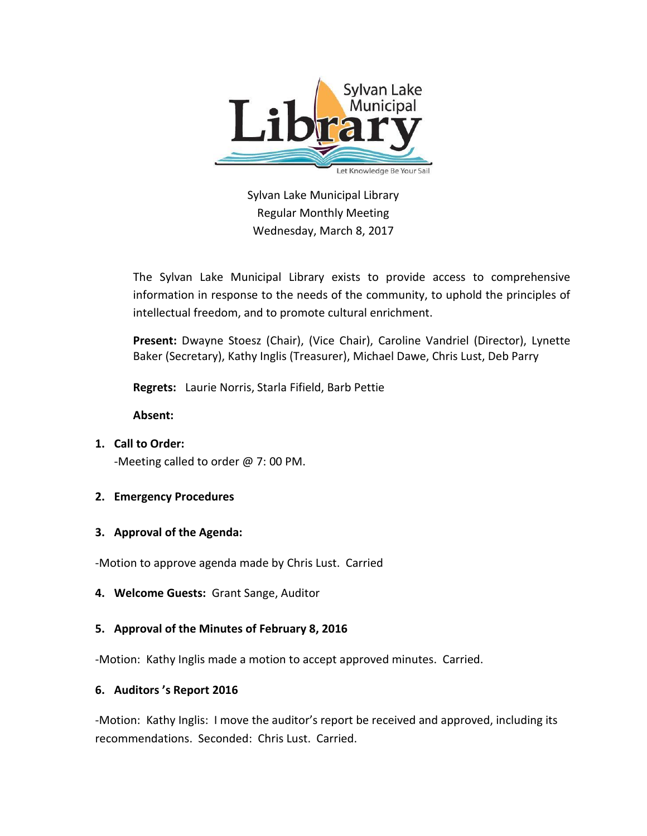

Sylvan Lake Municipal Library Regular Monthly Meeting Wednesday, March 8, 2017

The Sylvan Lake Municipal Library exists to provide access to comprehensive information in response to the needs of the community, to uphold the principles of intellectual freedom, and to promote cultural enrichment.

**Present:** Dwayne Stoesz (Chair), (Vice Chair), Caroline Vandriel (Director), Lynette Baker (Secretary), Kathy Inglis (Treasurer), Michael Dawe, Chris Lust, Deb Parry

**Regrets:** Laurie Norris, Starla Fifield, Barb Pettie

**Absent:**

**1. Call to Order:**  -Meeting called to order @ 7: 00 PM.

# **2. Emergency Procedures**

## **3. Approval of the Agenda:**

-Motion to approve agenda made by Chris Lust. Carried

**4. Welcome Guests:** Grant Sange, Auditor

## **5. Approval of the Minutes of February 8, 2016**

-Motion: Kathy Inglis made a motion to accept approved minutes. Carried.

## **6. Auditors 's Report 2016**

-Motion: Kathy Inglis: I move the auditor's report be received and approved, including its recommendations. Seconded: Chris Lust. Carried.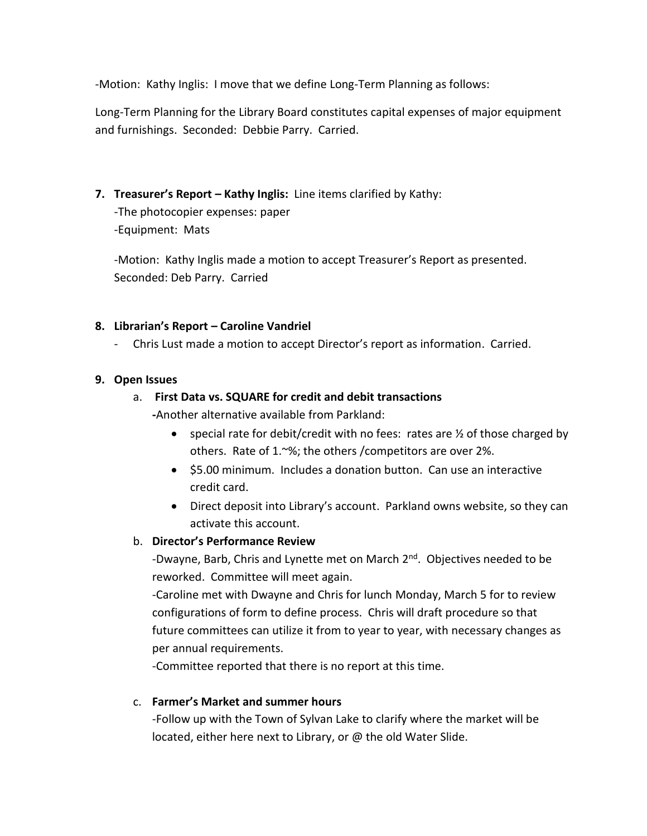-Motion: Kathy Inglis: I move that we define Long-Term Planning as follows:

Long-Term Planning for the Library Board constitutes capital expenses of major equipment and furnishings. Seconded: Debbie Parry. Carried.

**7. Treasurer's Report – Kathy Inglis:** Line items clarified by Kathy:

-The photocopier expenses: paper -Equipment: Mats

-Motion: Kathy Inglis made a motion to accept Treasurer's Report as presented. Seconded: Deb Parry. Carried

### **8. Librarian's Report – Caroline Vandriel**

- Chris Lust made a motion to accept Director's report as information. Carried.

### **9. Open Issues**

### a. **First Data vs. SQUARE for credit and debit transactions**

**-**Another alternative available from Parkland:

- special rate for debit/credit with no fees: rates are  $\frac{1}{2}$  of those charged by others. Rate of 1.~%; the others /competitors are over 2%.
- \$5.00 minimum. Includes a donation button. Can use an interactive credit card.
- Direct deposit into Library's account. Parkland owns website, so they can activate this account.

## b. **Director's Performance Review**

-Dwayne, Barb, Chris and Lynette met on March 2<sup>nd</sup>. Objectives needed to be reworked. Committee will meet again.

-Caroline met with Dwayne and Chris for lunch Monday, March 5 for to review configurations of form to define process. Chris will draft procedure so that future committees can utilize it from to year to year, with necessary changes as per annual requirements.

-Committee reported that there is no report at this time.

c. **Farmer's Market and summer hours**

-Follow up with the Town of Sylvan Lake to clarify where the market will be located, either here next to Library, or @ the old Water Slide.